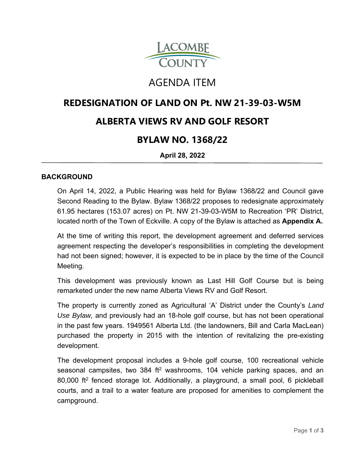

# AGENDA ITEM

## **REDESIGNATION OF LAND ON Pt. NW 21-39-03-W5M**

### **ALBERTA VIEWS RV AND GOLF RESORT**

### **BYLAW NO. 1368/22**

**April 28, 2022**

#### **BACKGROUND**

On April 14, 2022, a Public Hearing was held for Bylaw 1368/22 and Council gave Second Reading to the Bylaw. Bylaw 1368/22 proposes to redesignate approximately 61.95 hectares (153.07 acres) on Pt. NW 21-39-03-W5M to Recreation 'PR' District, located north of the Town of Eckville. A copy of the Bylaw is attached as **Appendix A.**

At the time of writing this report, the development agreement and deferred services agreement respecting the developer's responsibilities in completing the development had not been signed; however, it is expected to be in place by the time of the Council Meeting.

This development was previously known as Last Hill Golf Course but is being remarketed under the new name Alberta Views RV and Golf Resort.

The property is currently zoned as Agricultural 'A' District under the County's *Land Use Bylaw,* and previously had an 18-hole golf course, but has not been operational in the past few years. 1949561 Alberta Ltd. (the landowners, Bill and Carla MacLean) purchased the property in 2015 with the intention of revitalizing the pre-existing development.

The development proposal includes a 9-hole golf course, 100 recreational vehicle seasonal campsites, two 384 ft<sup>2</sup> washrooms, 104 vehicle parking spaces, and an 80,000 ft2 fenced storage lot. Additionally, a playground, a small pool, 6 pickleball courts, and a trail to a water feature are proposed for amenities to complement the campground.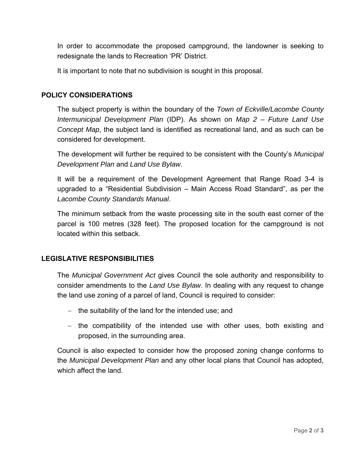In order to accommodate the proposed campground, the landowner is seeking to redesignate the lands to Recreation 'PR' District.

It is important to note that no subdivision is sought in this proposal.

#### **POLICY CONSIDERATIONS**

The subject property is within the boundary of the *Town of Eckville/Lacombe County Intermunicipal Development Plan* (IDP). As shown on *Map 2 – Future Land Use Concept Map*, the subject land is identified as recreational land, and as such can be considered for development.

The development will further be required to be consistent with the County's *Municipal Development Plan* and *Land Use Bylaw*.

It will be a requirement of the Development Agreement that Range Road 3-4 is upgraded to a "Residential Subdivision – Main Access Road Standard", as per the *Lacombe County Standards Manual*.

The minimum setback from the waste processing site in the south east corner of the parcel is 100 metres (328 feet). The proposed location for the campground is not located within this setback.

#### **LEGISLATIVE RESPONSIBILITIES**

The *Municipal Government Act* gives Council the sole authority and responsibility to consider amendments to the *Land Use Bylaw*. In dealing with any request to change the land use zoning of a parcel of land, Council is required to consider:

- $-$  the suitability of the land for the intended use; and
- the compatibility of the intended use with other uses, both existing and proposed, in the surrounding area.

Council is also expected to consider how the proposed zoning change conforms to the *Municipal Development Plan* and any other local plans that Council has adopted, which affect the land.